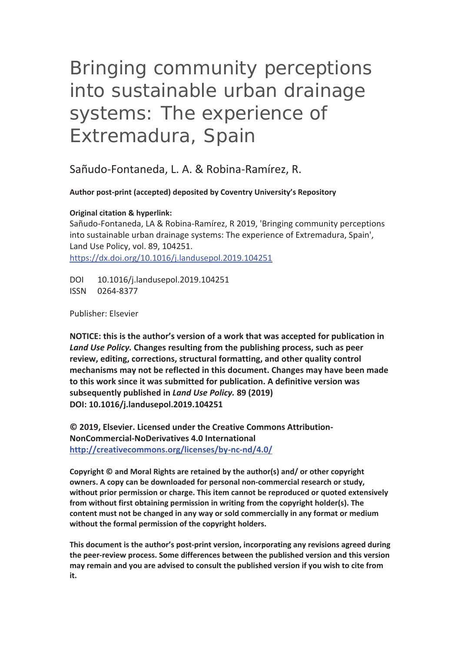# Bringing community perceptions into sustainable urban drainage systems: The experience of Extremadura, Spain

Sañudo-Fontaneda, L. A. & Robina-Ramírez, R.

**Author post-print (accepted) deposited by Coventry University's Repository** 

**Original citation & hyperlink:**

Sañudo-Fontaneda, LA & Robina-Ramírez, R 2019, 'Bringing community perceptions into sustainable urban drainage systems: The experience of Extremadura, Spain', Land Use Policy, vol. 89, 104251. https://dx.doi.org/10.1016/j.landusepol.2019.104251

DOI 10.1016/j.landusepol.2019.104251 ISSN 0264-8377

Publisher: Elsevier

**NOTICE: this is the author's version of a work that was accepted for publication in**  *Land Use Policy.* **Changes resulting from the publishing process, such as peer review, editing, corrections, structural formatting, and other quality control mechanisms may not be reflected in this document. Changes may have been made to this work since it was submitted for publication. A definitive version was subsequently published in** *Land Use Policy.* **89 (2019) DOI: 10.1016/j.landusepol.2019.104251** 

**© 2019, Elsevier. Licensed under the Creative Commons Attribution-NonCommercial-NoDerivatives 4.0 International http://creativecommons.org/licenses/by-nc-nd/4.0/**

**Copyright © and Moral Rights are retained by the author(s) and/ or other copyright owners. A copy can be downloaded for personal non-commercial research or study, without prior permission or charge. This item cannot be reproduced or quoted extensively from without first obtaining permission in writing from the copyright holder(s). The content must not be changed in any way or sold commercially in any format or medium without the formal permission of the copyright holders.** 

**This document is the author's post-print version, incorporating any revisions agreed during the peer-review process. Some differences between the published version and this version may remain and you are advised to consult the published version if you wish to cite from it.**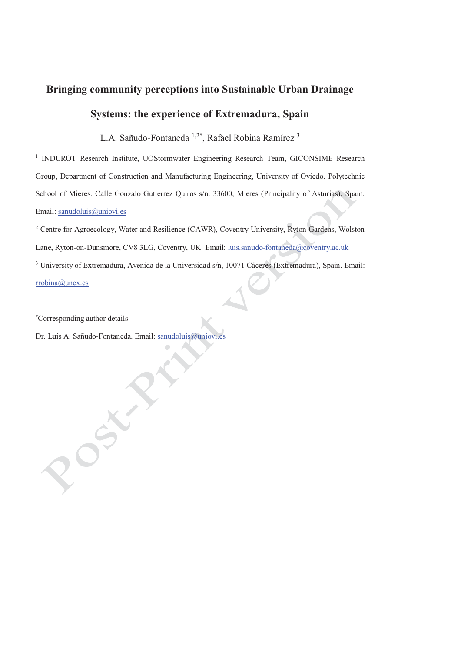# **Bringing community perceptions into Sustainable Urban Drainage Systems: the experience of Extremadura, Spain**

L.A. Sañudo-Fontaneda 1,2\*, Rafael Robina Ramírez 3

<sup>1</sup> INDUROT Research Institute, UOStormwater Engineering Research Team, GICONSIME Research Group, Department of Construction and Manufacturing Engineering, University of Oviedo. Polytechnic School of Mieres. Calle Gonzalo Gutierrez Quiros s/n. 33600, Mieres (Principality of Asturias), Spain. Email: sanudoluis@uniovi.es

<sup>2</sup> Centre for Agroecology, Water and Resilience (CAWR), Coventry University, Ryton Gardens, Wolston Lane, Ryton-on-Dunsmore, CV8 3LG, Coventry, UK. Email: luis.sanudo-fontaneda@coventry.ac.uk <sup>3</sup> University of Extremadura, Avenida de la Universidad s/n, 10071 Cáceres (Extremadura), Spain. Email:

rrobina@unex.es

\* Corresponding author details:

Dr. Luis A. Sañudo-Fontaneda. Email: sanudoluis@uniovi.es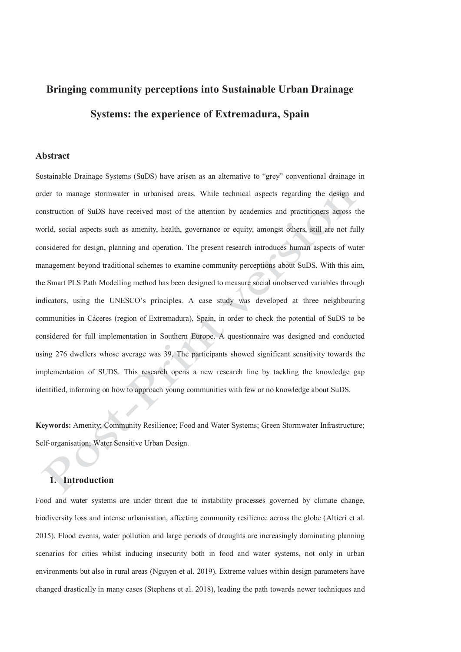## **Bringing community perceptions into Sustainable Urban Drainage Systems: the experience of Extremadura, Spain**

#### **Abstract**

Sustainable Drainage Systems (SuDS) have arisen as an alternative to "grey" conventional drainage in order to manage stormwater in urbanised areas. While technical aspects regarding the design and construction of SuDS have received most of the attention by academics and practitioners across the world, social aspects such as amenity, health, governance or equity, amongst others, still are not fully considered for design, planning and operation. The present research introduces human aspects of water management beyond traditional schemes to examine community perceptions about SuDS. With this aim, the Smart PLS Path Modelling method has been designed to measure social unobserved variables through indicators, using the UNESCO's principles. A case study was developed at three neighbouring communities in Cáceres (region of Extremadura), Spain, in order to check the potential of SuDS to be considered for full implementation in Southern Europe. A questionnaire was designed and conducted using 276 dwellers whose average was 39. The participants showed significant sensitivity towards the implementation of SUDS. This research opens a new research line by tackling the knowledge gap identified, informing on how to approach young communities with few or no knowledge about SuDS.

**Keywords:** Amenity; Community Resilience; Food and Water Systems; Green Stormwater Infrastructure; Self-organisation; Water Sensitive Urban Design.

#### **1. Introduction**

Food and water systems are under threat due to instability processes governed by climate change, biodiversity loss and intense urbanisation, affecting community resilience across the globe (Altieri et al. 2015). Flood events, water pollution and large periods of droughts are increasingly dominating planning scenarios for cities whilst inducing insecurity both in food and water systems, not only in urban environments but also in rural areas (Nguyen et al. 2019). Extreme values within design parameters have changed drastically in many cases (Stephens et al. 2018), leading the path towards newer techniques and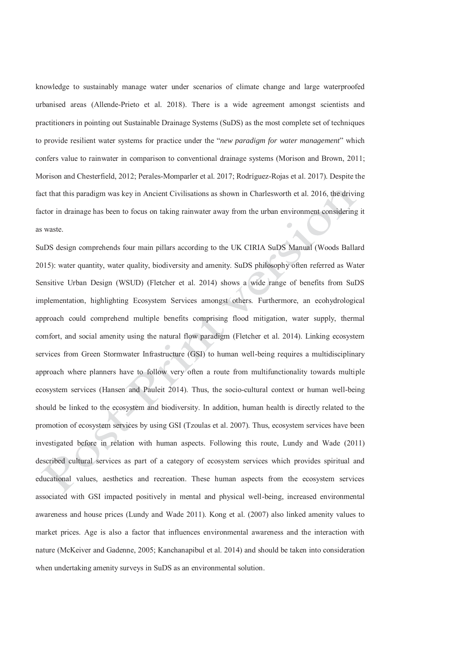knowledge to sustainably manage water under scenarios of climate change and large waterproofed urbanised areas (Allende-Prieto et al. 2018). There is a wide agreement amongst scientists and practitioners in pointing out Sustainable Drainage Systems (SuDS) as the most complete set of techniques to provide resilient water systems for practice under the "*new paradigm for water management*" which confers value to rainwater in comparison to conventional drainage systems (Morison and Brown, 2011; Morison and Chesterfield, 2012; Perales-Momparler et al. 2017; Rodríguez-Rojas et al. 2017). Despite the fact that this paradigm was key in Ancient Civilisations as shown in Charlesworth et al. 2016, the driving factor in drainage has been to focus on taking rainwater away from the urban environment considering it as waste.

SuDS design comprehends four main pillars according to the UK CIRIA SuDS Manual (Woods Ballard 2015): water quantity, water quality, biodiversity and amenity. SuDS philosophy often referred as Water Sensitive Urban Design (WSUD) (Fletcher et al. 2014) shows a wide range of benefits from SuDS implementation, highlighting Ecosystem Services amongst others. Furthermore, an ecohydrological approach could comprehend multiple benefits comprising flood mitigation, water supply, thermal comfort, and social amenity using the natural flow paradigm (Fletcher et al. 2014). Linking ecosystem services from Green Stormwater Infrastructure (GSI) to human well-being requires a multidisciplinary approach where planners have to follow very often a route from multifunctionality towards multiple ecosystem services (Hansen and Pauleit 2014). Thus, the socio-cultural context or human well-being should be linked to the ecosystem and biodiversity. In addition, human health is directly related to the promotion of ecosystem services by using GSI (Tzoulas et al. 2007). Thus, ecosystem services have been investigated before in relation with human aspects. Following this route, Lundy and Wade (2011) described cultural services as part of a category of ecosystem services which provides spiritual and educational values, aesthetics and recreation. These human aspects from the ecosystem services associated with GSI impacted positively in mental and physical well-being, increased environmental awareness and house prices (Lundy and Wade 2011). Kong et al. (2007) also linked amenity values to market prices. Age is also a factor that influences environmental awareness and the interaction with nature (McKeiver and Gadenne, 2005; Kanchanapibul et al. 2014) and should be taken into consideration when undertaking amenity surveys in SuDS as an environmental solution.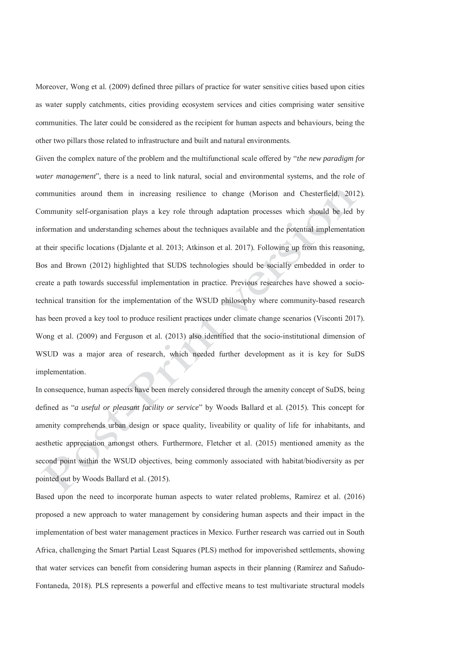Moreover, Wong et al. (2009) defined three pillars of practice for water sensitive cities based upon cities as water supply catchments, cities providing ecosystem services and cities comprising water sensitive communities. The later could be considered as the recipient for human aspects and behaviours, being the other two pillars those related to infrastructure and built and natural environments.

Given the complex nature of the problem and the multifunctional scale offered by "*the new paradigm for water management*", there is a need to link natural, social and environmental systems, and the role of communities around them in increasing resilience to change (Morison and Chesterfield, 2012). Community self-organisation plays a key role through adaptation processes which should be led by information and understanding schemes about the techniques available and the potential implementation at their specific locations (Djalante et al. 2013; Atkinson et al. 2017). Following up from this reasoning, Bos and Brown (2012) highlighted that SUDS technologies should be socially embedded in order to create a path towards successful implementation in practice. Previous researches have showed a sociotechnical transition for the implementation of the WSUD philosophy where community-based research has been proved a key tool to produce resilient practices under climate change scenarios (Visconti 2017). Wong et al. (2009) and Ferguson et al. (2013) also identified that the socio-institutional dimension of WSUD was a major area of research, which needed further development as it is key for SuDS implementation.

In consequence, human aspects have been merely considered through the amenity concept of SuDS, being defined as "*a useful or pleasant facility or service*" by Woods Ballard et al. (2015). This concept for amenity comprehends urban design or space quality, liveability or quality of life for inhabitants, and aesthetic appreciation amongst others. Furthermore, Fletcher et al. (2015) mentioned amenity as the second point within the WSUD objectives, being commonly associated with habitat/biodiversity as per pointed out by Woods Ballard et al. (2015).

Based upon the need to incorporate human aspects to water related problems, Ramírez et al. (2016) proposed a new approach to water management by considering human aspects and their impact in the implementation of best water management practices in Mexico. Further research was carried out in South Africa, challenging the Smart Partial Least Squares (PLS) method for impoverished settlements, showing that water services can benefit from considering human aspects in their planning (Ramírez and Sañudo-Fontaneda, 2018). PLS represents a powerful and effective means to test multivariate structural models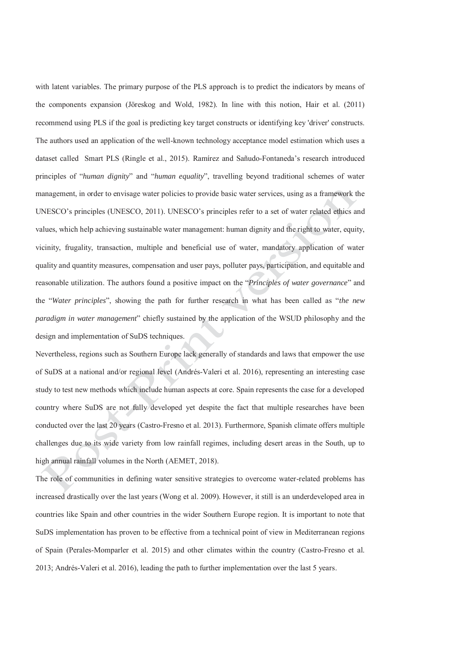with latent variables. The primary purpose of the PLS approach is to predict the indicators by means of the components expansion (Jöreskog and Wold, 1982). In line with this notion, Hair et al. (2011) recommend using PLS if the goal is predicting key target constructs or identifying key 'driver' constructs. The authors used an application of the well-known technology acceptance model estimation which uses a dataset called Smart PLS (Ringle et al., 2015). Ramírez and Sañudo-Fontaneda's research introduced principles of "*human dignity*" and "*human equality*", travelling beyond traditional schemes of water management, in order to envisage water policies to provide basic water services, using as a framework the UNESCO's principles (UNESCO, 2011). UNESCO's principles refer to a set of water related ethics and values, which help achieving sustainable water management: human dignity and the right to water, equity, vicinity, frugality, transaction, multiple and beneficial use of water, mandatory application of water quality and quantity measures, compensation and user pays, polluter pays, participation, and equitable and reasonable utilization. The authors found a positive impact on the "*Principles of water governance*" and the "*Water principles*", showing the path for further research in what has been called as "*the new paradigm in water management*" chiefly sustained by the application of the WSUD philosophy and the design and implementation of SuDS techniques.

Nevertheless, regions such as Southern Europe lack generally of standards and laws that empower the use of SuDS at a national and/or regional level (Andrés-Valeri et al. 2016), representing an interesting case study to test new methods which include human aspects at core. Spain represents the case for a developed country where SuDS are not fully developed yet despite the fact that multiple researches have been conducted over the last 20 years (Castro-Fresno et al. 2013). Furthermore, Spanish climate offers multiple challenges due to its wide variety from low rainfall regimes, including desert areas in the South, up to high annual rainfall volumes in the North (AEMET, 2018).

The role of communities in defining water sensitive strategies to overcome water-related problems has increased drastically over the last years (Wong et al. 2009). However, it still is an underdeveloped area in countries like Spain and other countries in the wider Southern Europe region. It is important to note that SuDS implementation has proven to be effective from a technical point of view in Mediterranean regions of Spain (Perales-Momparler et al. 2015) and other climates within the country (Castro-Fresno et al. 2013; Andrés-Valeri et al. 2016), leading the path to further implementation over the last 5 years.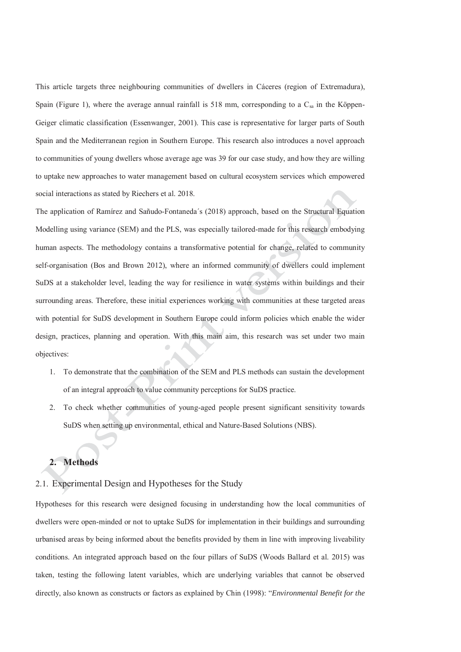This article targets three neighbouring communities of dwellers in Cáceres (region of Extremadura), Spain (Figure 1), where the average annual rainfall is 518 mm, corresponding to a  $C_{sa}$  in the Köppen-Geiger climatic classification (Essenwanger, 2001). This case is representative for larger parts of South Spain and the Mediterranean region in Southern Europe. This research also introduces a novel approach to communities of young dwellers whose average age was 39 for our case study, and how they are willing to uptake new approaches to water management based on cultural ecosystem services which empowered social interactions as stated by Riechers et al. 2018.

The application of Ramírez and Sañudo-Fontaneda´s (2018) approach, based on the Structural Equation Modelling using variance (SEM) and the PLS, was especially tailored-made for this research embodying human aspects. The methodology contains a transformative potential for change, related to community self-organisation (Bos and Brown 2012), where an informed community of dwellers could implement SuDS at a stakeholder level, leading the way for resilience in water systems within buildings and their surrounding areas. Therefore, these initial experiences working with communities at these targeted areas with potential for SuDS development in Southern Europe could inform policies which enable the wider design, practices, planning and operation. With this main aim, this research was set under two main objectives:

- 1. To demonstrate that the combination of the SEM and PLS methods can sustain the development of an integral approach to value community perceptions for SuDS practice.
- 2. To check whether communities of young-aged people present significant sensitivity towards SuDS when setting up environmental, ethical and Nature-Based Solutions (NBS).

### **2. Methods**

### 2.1. Experimental Design and Hypotheses for the Study

Hypotheses for this research were designed focusing in understanding how the local communities of dwellers were open-minded or not to uptake SuDS for implementation in their buildings and surrounding urbanised areas by being informed about the benefits provided by them in line with improving liveability conditions. An integrated approach based on the four pillars of SuDS (Woods Ballard et al. 2015) was taken, testing the following latent variables, which are underlying variables that cannot be observed directly, also known as constructs or factors as explained by Chin (1998): "*Environmental Benefit for the*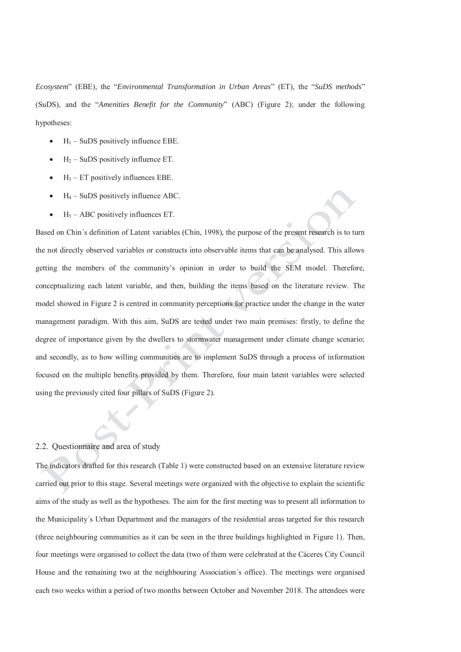*Ecosystem*" (EBE), the "*Environmental Transformation in Urban Areas*" (ET), the "*SuDS methods*" (SuDS), and the "*Amenities Benefit for the Community*" (ABC) (Figure 2); under the following hypotheses:

- $H_1$  SuDS positively influence EBE.
- $H<sub>2</sub>$  SuDS positively influence ET.
- $H_3$  ET positively influences EBE.
- $H_4$  SuDS positively influence ABC.
- $H<sub>5</sub> ABC$  positively influences ET.

Based on Chin´s definition of Latent variables (Chin, 1998), the purpose of the present research is to turn the not directly observed variables or constructs into observable items that can be analysed. This allows getting the members of the community's opinion in order to build the SEM model. Therefore, conceptualizing each latent variable, and then, building the items based on the literature review. The model showed in Figure 2 is centred in community perceptions for practice under the change in the water management paradigm. With this aim, SuDS are tested under two main premises: firstly, to define the degree of importance given by the dwellers to stormwater management under climate change scenario; and secondly, as to how willing communities are to implement SuDS through a process of information focused on the multiple benefits provided by them. Therefore, four main latent variables were selected using the previously cited four pillars of SuDS (Figure 2).

#### 2.2. Questionnaire and area of study

The indicators drafted for this research (Table 1) were constructed based on an extensive literature review carried out prior to this stage. Several meetings were organized with the objective to explain the scientific aims of the study as well as the hypotheses. The aim for the first meeting was to present all information to the Municipality´s Urban Department and the managers of the residential areas targeted for this research (three neighbouring communities as it can be seen in the three buildings highlighted in Figure 1). Then, four meetings were organised to collect the data (two of them were celebrated at the Cáceres City Council House and the remaining two at the neighbouring Association´s office). The meetings were organised each two weeks within a period of two months between October and November 2018. The attendees were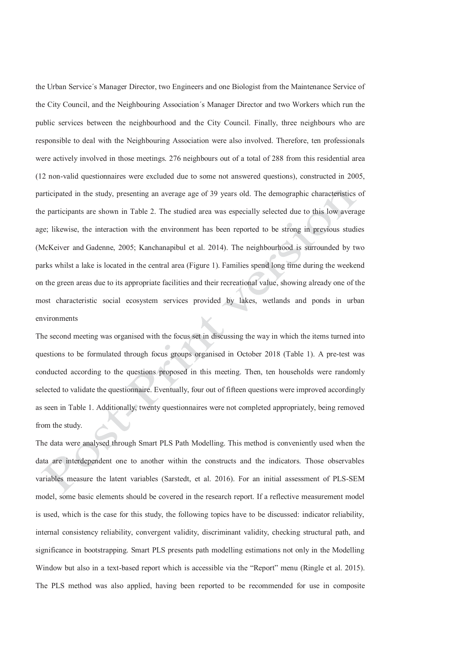the Urban Service´s Manager Director, two Engineers and one Biologist from the Maintenance Service of the City Council, and the Neighbouring Association´s Manager Director and two Workers which run the public services between the neighbourhood and the City Council. Finally, three neighbours who are responsible to deal with the Neighbouring Association were also involved. Therefore, ten professionals were actively involved in those meetings. 276 neighbours out of a total of 288 from this residential area (12 non-valid questionnaires were excluded due to some not answered questions), constructed in 2005, participated in the study, presenting an average age of 39 years old. The demographic characteristics of the participants are shown in Table 2. The studied area was especially selected due to this low average age; likewise, the interaction with the environment has been reported to be strong in previous studies (McKeiver and Gadenne, 2005; Kanchanapibul et al. 2014). The neighbourhood is surrounded by two parks whilst a lake is located in the central area (Figure 1). Families spend long time during the weekend on the green areas due to its appropriate facilities and their recreational value, showing already one of the most characteristic social ecosystem services provided by lakes, wetlands and ponds in urban environments

The second meeting was organised with the focus set in discussing the way in which the items turned into questions to be formulated through focus groups organised in October 2018 (Table 1). A pre-test was conducted according to the questions proposed in this meeting. Then, ten households were randomly selected to validate the questionnaire. Eventually, four out of fifteen questions were improved accordingly as seen in Table 1. Additionally, twenty questionnaires were not completed appropriately, being removed from the study.

The data were analysed through Smart PLS Path Modelling. This method is conveniently used when the data are interdependent one to another within the constructs and the indicators. Those observables variables measure the latent variables (Sarstedt, et al. 2016). For an initial assessment of PLS-SEM model, some basic elements should be covered in the research report. If a reflective measurement model is used, which is the case for this study, the following topics have to be discussed: indicator reliability, internal consistency reliability, convergent validity, discriminant validity, checking structural path, and significance in bootstrapping. Smart PLS presents path modelling estimations not only in the Modelling Window but also in a text-based report which is accessible via the "Report" menu (Ringle et al. 2015). The PLS method was also applied, having been reported to be recommended for use in composite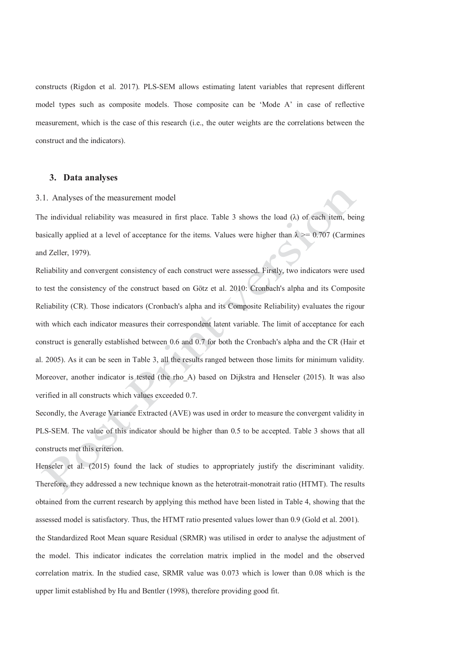constructs (Rigdon et al. 2017). PLS-SEM allows estimating latent variables that represent different model types such as composite models. Those composite can be 'Mode A' in case of reflective measurement, which is the case of this research (i.e., the outer weights are the correlations between the construct and the indicators).

#### **3. Data analyses**

#### 3.1. Analyses of the measurement model

The individual reliability was measured in first place. Table 3 shows the load  $(\lambda)$  of each item, being basically applied at a level of acceptance for the items. Values were higher than  $\lambda \ge 0.707$  (Carmines and Zeller, 1979).

Reliability and convergent consistency of each construct were assessed. Firstly, two indicators were used to test the consistency of the construct based on Götz et al. 2010: Cronbach's alpha and its Composite Reliability (CR). Those indicators (Cronbach's alpha and its Composite Reliability) evaluates the rigour with which each indicator measures their correspondent latent variable. The limit of acceptance for each construct is generally established between 0.6 and 0.7 for both the Cronbach's alpha and the CR (Hair et al. 2005). As it can be seen in Table 3, all the results ranged between those limits for minimum validity. Moreover, another indicator is tested (the rho\_A) based on Dijkstra and Henseler (2015). It was also verified in all constructs which values exceeded 0.7.

Secondly, the Average Variance Extracted (AVE) was used in order to measure the convergent validity in PLS-SEM. The value of this indicator should be higher than 0.5 to be accepted. Table 3 shows that all constructs met this criterion.

Henseler et al. (2015) found the lack of studies to appropriately justify the discriminant validity. Therefore, they addressed a new technique known as the heterotrait-monotrait ratio (HTMT). The results obtained from the current research by applying this method have been listed in Table 4, showing that the assessed model is satisfactory. Thus, the HTMT ratio presented values lower than 0.9 (Gold et al. 2001). the Standardized Root Mean square Residual (SRMR) was utilised in order to analyse the adjustment of the model. This indicator indicates the correlation matrix implied in the model and the observed correlation matrix. In the studied case, SRMR value was 0.073 which is lower than 0.08 which is the upper limit established by Hu and Bentler (1998), therefore providing good fit.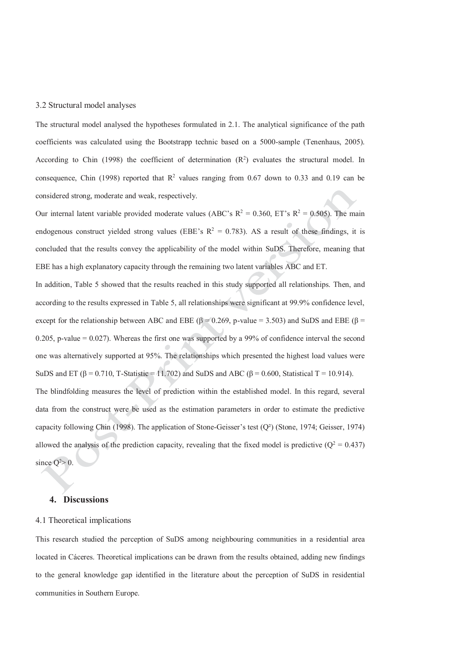#### 3.2 Structural model analyses

The structural model analysed the hypotheses formulated in 2.1. The analytical significance of the path coefficients was calculated using the Bootstrapp technic based on a 5000-sample (Tenenhaus, 2005). According to Chin (1998) the coefficient of determination  $(R^2)$  evaluates the structural model. In consequence, Chin (1998) reported that  $\mathbb{R}^2$  values ranging from 0.67 down to 0.33 and 0.19 can be considered strong, moderate and weak, respectively.

Our internal latent variable provided moderate values (ABC's  $R^2 = 0.360$ , ET's  $R^2 = 0.505$ ). The main endogenous construct yielded strong values (EBE's  $R^2 = 0.783$ ). AS a result of these findings, it is concluded that the results convey the applicability of the model within SuDS. Therefore, meaning that EBE has a high explanatory capacity through the remaining two latent variables ABC and ET.

In addition, Table 5 showed that the results reached in this study supported all relationships. Then, and according to the results expressed in Table 5, all relationships were significant at 99.9% confidence level, except for the relationship between ABC and EBE ( $\beta$  = 0.269, p-value = 3.503) and SuDS and EBE ( $\beta$  = 0.205, p-value  $= 0.027$ ). Whereas the first one was supported by a 99% of confidence interval the second one was alternatively supported at 95%. The relationships which presented the highest load values were SuDS and ET ( $\beta$  = 0.710, T-Statistic = 11.702) and SuDS and ABC ( $\beta$  = 0.600, Statistical T = 10.914). The blindfolding measures the level of prediction within the established model. In this regard, several data from the construct were be used as the estimation parameters in order to estimate the predictive capacity following Chin (1998). The application of Stone-Geisser's test (Q²) (Stone, 1974; Geisser, 1974) allowed the analysis of the prediction capacity, revealing that the fixed model is predictive  $(Q^2 = 0.437)$ since  $Q^2 > 0$ .

#### **4. Discussions**

#### 4.1 Theoretical implications

This research studied the perception of SuDS among neighbouring communities in a residential area located in Cáceres. Theoretical implications can be drawn from the results obtained, adding new findings to the general knowledge gap identified in the literature about the perception of SuDS in residential communities in Southern Europe.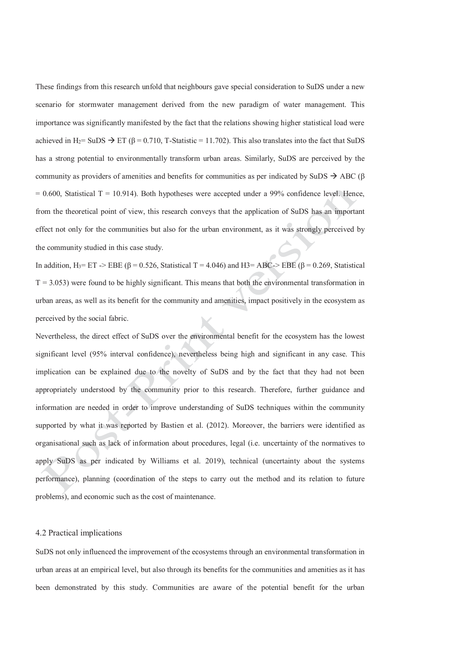These findings from this research unfold that neighbours gave special consideration to SuDS under a new scenario for stormwater management derived from the new paradigm of water management. This importance was significantly manifested by the fact that the relations showing higher statistical load were achieved in H<sub>2</sub>= SuDS  $\rightarrow$  ET ( $\beta$  = 0.710, T-Statistic = 11.702). This also translates into the fact that SuDS has a strong potential to environmentally transform urban areas. Similarly, SuDS are perceived by the community as providers of amenities and benefits for communities as per indicated by SuDS  $\rightarrow$  ABC ( $\beta$ )  $= 0.600$ , Statistical T = 10.914). Both hypotheses were accepted under a 99% confidence level. Hence, from the theoretical point of view, this research conveys that the application of SuDS has an important effect not only for the communities but also for the urban environment, as it was strongly perceived by the community studied in this case study.

In addition,  $H_3 = ET \rightarrow EBE$  ( $\beta = 0.526$ , Statistical T = 4.046) and H3= ABC-> EBE ( $\beta = 0.269$ , Statistical  $T = 3.053$ ) were found to be highly significant. This means that both the environmental transformation in urban areas, as well as its benefit for the community and amenities, impact positively in the ecosystem as perceived by the social fabric.

Nevertheless, the direct effect of SuDS over the environmental benefit for the ecosystem has the lowest significant level (95% interval confidence), nevertheless being high and significant in any case. This implication can be explained due to the novelty of SuDS and by the fact that they had not been appropriately understood by the community prior to this research. Therefore, further guidance and information are needed in order to improve understanding of SuDS techniques within the community supported by what it was reported by Bastien et al. (2012). Moreover, the barriers were identified as organisational such as lack of information about procedures, legal (i.e. uncertainty of the normatives to apply SuDS as per indicated by Williams et al. 2019), technical (uncertainty about the systems performance), planning (coordination of the steps to carry out the method and its relation to future problems), and economic such as the cost of maintenance.

#### 4.2 Practical implications

SuDS not only influenced the improvement of the ecosystems through an environmental transformation in urban areas at an empirical level, but also through its benefits for the communities and amenities as it has been demonstrated by this study. Communities are aware of the potential benefit for the urban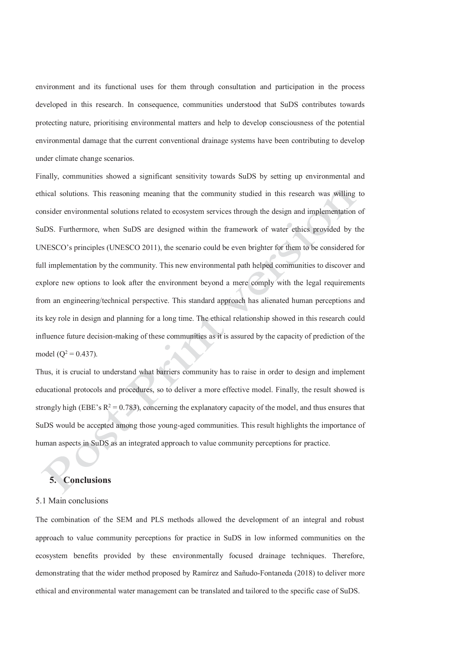environment and its functional uses for them through consultation and participation in the process developed in this research. In consequence, communities understood that SuDS contributes towards protecting nature, prioritising environmental matters and help to develop consciousness of the potential environmental damage that the current conventional drainage systems have been contributing to develop under climate change scenarios.

Finally, communities showed a significant sensitivity towards SuDS by setting up environmental and ethical solutions. This reasoning meaning that the community studied in this research was willing to consider environmental solutions related to ecosystem services through the design and implementation of SuDS. Furthermore, when SuDS are designed within the framework of water ethics provided by the UNESCO's principles (UNESCO 2011), the scenario could be even brighter for them to be considered for full implementation by the community. This new environmental path helped communities to discover and explore new options to look after the environment beyond a mere comply with the legal requirements from an engineering/technical perspective. This standard approach has alienated human perceptions and its key role in design and planning for a long time. The ethical relationship showed in this research could influence future decision-making of these communities as it is assured by the capacity of prediction of the model  $(Q^2 = 0.437)$ .

Thus, it is crucial to understand what barriers community has to raise in order to design and implement educational protocols and procedures, so to deliver a more effective model. Finally, the result showed is strongly high (EBE's  $R^2 = 0.783$ ), concerning the explanatory capacity of the model, and thus ensures that SuDS would be accepted among those young-aged communities. This result highlights the importance of human aspects in SuDS as an integrated approach to value community perceptions for practice.

#### **5. Conclusions**

#### 5.1 Main conclusions

The combination of the SEM and PLS methods allowed the development of an integral and robust approach to value community perceptions for practice in SuDS in low informed communities on the ecosystem benefits provided by these environmentally focused drainage techniques. Therefore, demonstrating that the wider method proposed by Ramírez and Sañudo-Fontaneda (2018) to deliver more ethical and environmental water management can be translated and tailored to the specific case of SuDS.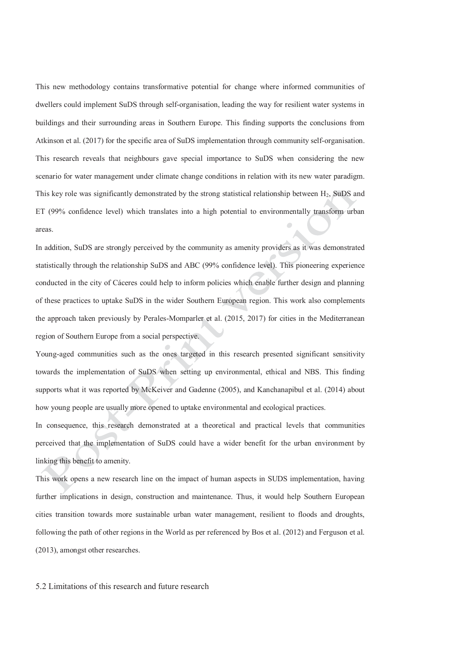This new methodology contains transformative potential for change where informed communities of dwellers could implement SuDS through self-organisation, leading the way for resilient water systems in buildings and their surrounding areas in Southern Europe. This finding supports the conclusions from Atkinson et al. (2017) for the specific area of SuDS implementation through community self-organisation. This research reveals that neighbours gave special importance to SuDS when considering the new scenario for water management under climate change conditions in relation with its new water paradigm. This key role was significantly demonstrated by the strong statistical relationship between  $H_2$ . SuDS and ET (99% confidence level) which translates into a high potential to environmentally transform urban areas.

In addition, SuDS are strongly perceived by the community as amenity providers as it was demonstrated statistically through the relationship SuDS and ABC (99% confidence level). This pioneering experience conducted in the city of Cáceres could help to inform policies which enable further design and planning of these practices to uptake SuDS in the wider Southern European region. This work also complements the approach taken previously by Perales-Momparler et al. (2015, 2017) for cities in the Mediterranean region of Southern Europe from a social perspective.

Young-aged communities such as the ones targeted in this research presented significant sensitivity towards the implementation of SuDS when setting up environmental, ethical and NBS. This finding supports what it was reported by McKeiver and Gadenne (2005), and Kanchanapibul et al. (2014) about how young people are usually more opened to uptake environmental and ecological practices.

In consequence, this research demonstrated at a theoretical and practical levels that communities perceived that the implementation of SuDS could have a wider benefit for the urban environment by linking this benefit to amenity.

This work opens a new research line on the impact of human aspects in SUDS implementation, having further implications in design, construction and maintenance. Thus, it would help Southern European cities transition towards more sustainable urban water management, resilient to floods and droughts, following the path of other regions in the World as per referenced by Bos et al. (2012) and Ferguson et al. (2013), amongst other researches.

5.2 Limitations of this research and future research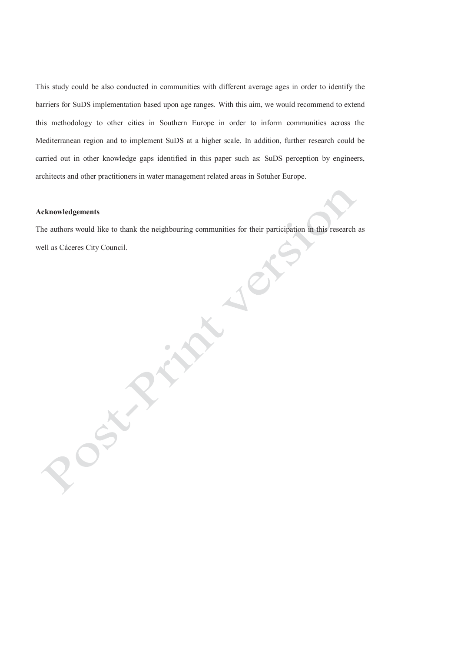This study could be also conducted in communities with different average ages in order to identify the barriers for SuDS implementation based upon age ranges. With this aim, we would recommend to extend this methodology to other cities in Southern Europe in order to inform communities across the Mediterranean region and to implement SuDS at a higher scale. In addition, further research could be carried out in other knowledge gaps identified in this paper such as: SuDS perception by engineers, architects and other practitioners in water management related areas in Sotuher Europe.

#### **Acknowledgements**

 $\mathscr{S}$ 

The authors would like to thank the neighbouring communities for their participation in this research as well as Cáceres City Council.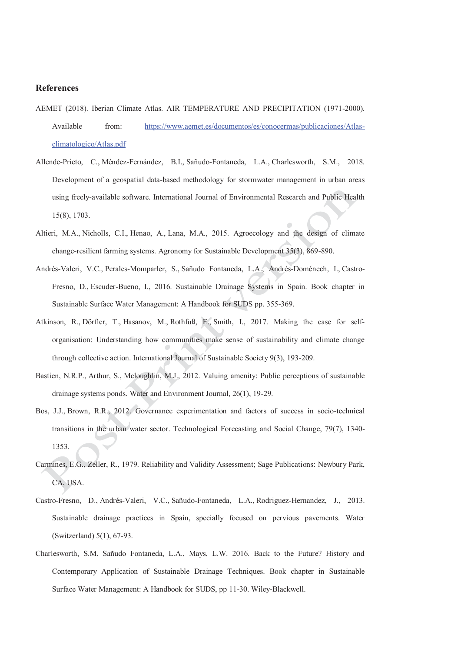#### **References**

- AEMET (2018). Iberian Climate Atlas. AIR TEMPERATURE AND PRECIPITATION (1971-2000). Available from: https://www.aemet.es/documentos/es/conocermas/publicaciones/Atlasclimatologico/Atlas.pdf
- Allende-Prieto, C., Méndez-Fernández, B.I., Sañudo-Fontaneda, L.A., Charlesworth, S.M., 2018. Development of a geospatial data-based methodology for stormwater management in urban areas using freely-available software. International Journal of Environmental Research and Public Health 15(8), 1703.
- Altieri, M.A., Nicholls, C.I., Henao, A., Lana, M.A., 2015. Agroecology and the design of climate change-resilient farming systems. Agronomy for Sustainable Development 35(3), 869-890.
- Andrés-Valeri, V.C., Perales-Momparler, S., Sañudo Fontaneda, L.A., Andrés-Doménech, I., Castro-Fresno, D., Escuder-Bueno, I., 2016. Sustainable Drainage Systems in Spain. Book chapter in Sustainable Surface Water Management: A Handbook for SUDS pp. 355-369.
- Atkinson, R., Dörfler, T., Hasanov, M., Rothfuß, E., Smith, I., 2017. Making the case for selforganisation: Understanding how communities make sense of sustainability and climate change through collective action. International Journal of Sustainable Society 9(3), 193-209.
- Bastien, N.R.P., Arthur, S., Mcloughlin, M.J., 2012. Valuing amenity: Public perceptions of sustainable drainage systems ponds. Water and Environment Journal, 26(1), 19-29.
- Bos, J.J., Brown, R.R., 2012. Governance experimentation and factors of success in socio-technical transitions in the urban water sector. Technological Forecasting and Social Change, 79(7), 1340- 1353.
- Carmines, E.G., Zeller, R., 1979. Reliability and Validity Assessment; Sage Publications: Newbury Park, CA, USA.
- Castro-Fresno, D., Andrés-Valeri, V.C., Sañudo-Fontaneda, L.A., Rodriguez-Hernandez, J., 2013. Sustainable drainage practices in Spain, specially focused on pervious pavements. Water (Switzerland) 5(1), 67-93.
- Charlesworth, S.M. Sañudo Fontaneda, L.A., Mays, L.W. 2016. Back to the Future? History and Contemporary Application of Sustainable Drainage Techniques. Book chapter in Sustainable Surface Water Management: A Handbook for SUDS, pp 11-30. Wiley-Blackwell.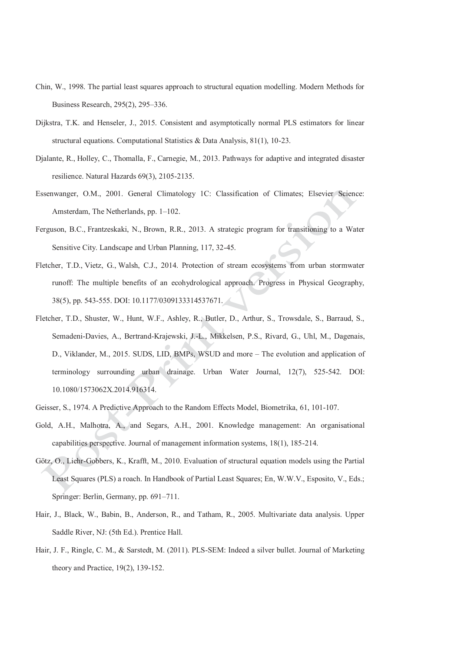- Chin, W., 1998. The partial least squares approach to structural equation modelling. Modern Methods for Business Research, 295(2), 295–336.
- Dijkstra, T.K. and Henseler, J., 2015. Consistent and asymptotically normal PLS estimators for linear structural equations. Computational Statistics & Data Analysis, 81(1), 10-23.
- Djalante, R., Holley, C., Thomalla, F., Carnegie, M., 2013. Pathways for adaptive and integrated disaster resilience. Natural Hazards 69(3), 2105-2135.
- Essenwanger, O.M., 2001. General Climatology 1C: Classification of Climates; Elsevier Science: Amsterdam, The Netherlands, pp. 1–102.
- Ferguson, B.C., Frantzeskaki, N., Brown, R.R., 2013. A strategic program for transitioning to a Water Sensitive City. Landscape and Urban Planning, 117, 32-45.
- Fletcher, T.D., Vietz, G., Walsh, C.J., 2014. Protection of stream ecosystems from urban stormwater runoff: The multiple benefits of an ecohydrological approach. Progress in Physical Geography, 38(5), pp. 543-555. DOI: 10.1177/0309133314537671.
- Fletcher, T.D., Shuster, W., Hunt, W.F., Ashley, R., Butler, D., Arthur, S., Trowsdale, S., Barraud, S., Semadeni-Davies, A., Bertrand-Krajewski, J.-L., Mikkelsen, P.S., Rivard, G., Uhl, M., Dagenais, D., Viklander, M., 2015. SUDS, LID, BMPs, WSUD and more – The evolution and application of terminology surrounding urban drainage. Urban Water Journal, 12(7), 525-542. DOI: 10.1080/1573062X.2014.916314.
- Geisser, S., 1974. A Predictive Approach to the Random Effects Model, Biometrika, 61, 101-107.
- Gold, A.H., Malhotra, A., and Segars, A.H., 2001. Knowledge management: An organisational capabilities perspective. Journal of management information systems, 18(1), 185-214.
- Götz, O., Liehr-Gobbers, K., Krafft, M., 2010. Evaluation of structural equation models using the Partial Least Squares (PLS) a roach. In Handbook of Partial Least Squares; En, W.W.V., Esposito, V., Eds.; Springer: Berlin, Germany, pp. 691–711.
- Hair, J., Black, W., Babin, B., Anderson, R., and Tatham, R., 2005. Multivariate data analysis. Upper Saddle River, NJ: (5th Ed.). Prentice Hall.
- Hair, J. F., Ringle, C. M., & Sarstedt, M. (2011). PLS-SEM: Indeed a silver bullet. Journal of Marketing theory and Practice, 19(2), 139-152.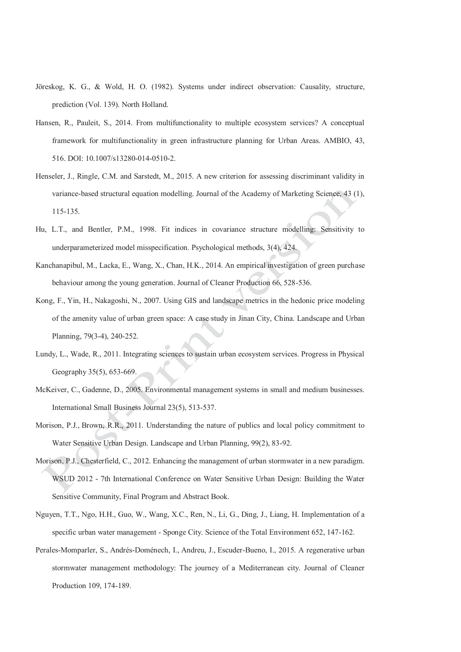- Jöreskog, K. G., & Wold, H. O. (1982). Systems under indirect observation: Causality, structure, prediction (Vol. 139). North Holland.
- Hansen, R., Pauleit, S., 2014. From multifunctionality to multiple ecosystem services? A conceptual framework for multifunctionality in green infrastructure planning for Urban Areas. AMBIO, 43, 516. DOI: 10.1007/s13280-014-0510-2.
- Henseler, J., Ringle, C.M. and Sarstedt, M., 2015. A new criterion for assessing discriminant validity in variance-based structural equation modelling. Journal of the Academy of Marketing Science, 43 (1), 115-135.
- Hu, L.T., and Bentler, P.M., 1998. Fit indices in covariance structure modelling: Sensitivity to underparameterized model misspecification. Psychological methods, 3(4), 424.
- Kanchanapibul, M., Lacka, E., Wang, X., Chan, H.K., 2014. An empirical investigation of green purchase behaviour among the young generation. Journal of Cleaner Production 66, 528-536.
- Kong, F., Yin, H., Nakagoshi, N., 2007. Using GIS and landscape metrics in the hedonic price modeling of the amenity value of urban green space: A case study in Jinan City, China. Landscape and Urban Planning, 79(3-4), 240-252.
- Lundy, L., Wade, R., 2011. Integrating sciences to sustain urban ecosystem services. Progress in Physical Geography 35(5), 653-669.
- McKeiver, C., Gadenne, D., 2005. Environmental management systems in small and medium businesses. International Small Business Journal 23(5), 513-537.
- Morison, P.J., Brown, R.R., 2011. Understanding the nature of publics and local policy commitment to Water Sensitive Urban Design. Landscape and Urban Planning, 99(2), 83-92.
- Morison, P.J., Chesterfield, C., 2012. Enhancing the management of urban stormwater in a new paradigm. WSUD 2012 - 7th International Conference on Water Sensitive Urban Design: Building the Water Sensitive Community, Final Program and Abstract Book.
- Nguyen, T.T., Ngo, H.H., Guo, W., Wang, X.C., Ren, N., Li, G., Ding, J., Liang, H. Implementation of a specific urban water management - Sponge City. Science of the Total Environment 652, 147-162.
- Perales-Momparler, S., Andrés-Doménech, I., Andreu, J., Escuder-Bueno, I., 2015. A regenerative urban stormwater management methodology: The journey of a Mediterranean city. Journal of Cleaner Production 109, 174-189.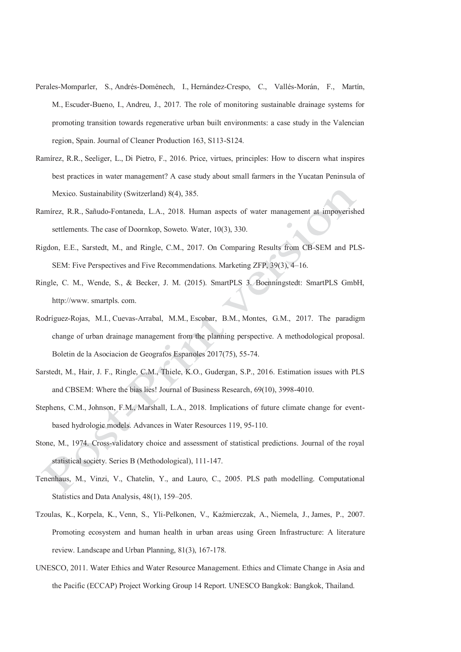- Perales-Momparler, S., Andrés-Doménech, I., Hernández-Crespo, C., Vallés-Morán, F., Martín, M., Escuder-Bueno, I., Andreu, J., 2017. The role of monitoring sustainable drainage systems for promoting transition towards regenerative urban built environments: a case study in the Valencian region, Spain. Journal of Cleaner Production 163, S113-S124.
- Ramírez, R.R., Seeliger, L., Di Pietro, F., 2016. Price, virtues, principles: How to discern what inspires best practices in water management? A case study about small farmers in the Yucatan Peninsula of Mexico. Sustainability (Switzerland) 8(4), 385.
- Ramírez, R.R., Sañudo-Fontaneda, L.A., 2018. Human aspects of water management at impoverished settlements. The case of Doornkop, Soweto. Water, 10(3), 330.
- Rigdon, E.E., Sarstedt, M., and Ringle, C.M., 2017. On Comparing Results from CB-SEM and PLS-SEM: Five Perspectives and Five Recommendations. Marketing ZFP, 39(3), 4–16.
- Ringle, C. M., Wende, S., & Becker, J. M. (2015). SmartPLS 3. Boenningstedt: SmartPLS GmbH, http://www. smartpls. com.
- Rodríguez-Rojas, M.I., Cuevas-Arrabal, M.M., Escobar, B.M., Montes, G.M., 2017. The paradigm change of urban drainage management from the planning perspective. A methodological proposal. Boletin de la Asociacion de Geografos Espanoles 2017(75), 55-74.
- Sarstedt, M., Hair, J. F., Ringle, C.M., Thiele, K.O., Gudergan, S.P., 2016. Estimation issues with PLS and CBSEM: Where the bias lies! Journal of Business Research, 69(10), 3998-4010.
- Stephens, C.M., Johnson, F.M., Marshall, L.A., 2018. Implications of future climate change for eventbased hydrologic models. Advances in Water Resources 119, 95-110.
- Stone, M., 1974. Cross-validatory choice and assessment of statistical predictions. Journal of the royal statistical society. Series B (Methodological), 111-147.
- Tenenhaus, M., Vinzi, V., Chatelin, Y., and Lauro, C., 2005. PLS path modelling. Computational Statistics and Data Analysis, 48(1), 159–205.
- Tzoulas, K., Korpela, K., Venn, S., Yli-Pelkonen, V., Kaźmierczak, A., Niemela, J., James, P., 2007. Promoting ecosystem and human health in urban areas using Green Infrastructure: A literature review. Landscape and Urban Planning, 81(3), 167-178.
- UNESCO, 2011. Water Ethics and Water Resource Management. Ethics and Climate Change in Asia and the Pacific (ECCAP) Project Working Group 14 Report. UNESCO Bangkok: Bangkok, Thailand.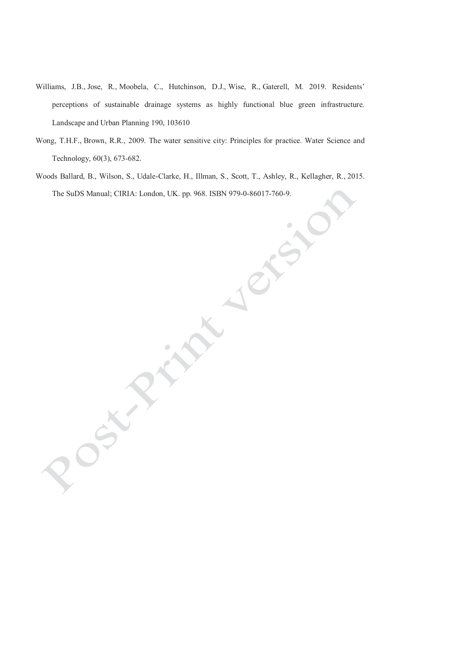- Williams, J.B., Jose, R., Moobela, C., Hutchinson, D.J., Wise, R., Gaterell, M. 2019. Residents' perceptions of sustainable drainage systems as highly functional blue green infrastructure. Landscape and Urban Planning 190, 103610
- Wong, T.H.F., Brown, R.R., 2009. The water sensitive city: Principles for practice. Water Science and Technology, 60(3), 673-682.
- Woods Ballard, B., Wilson, S., Udale-Clarke, H., Illman, S., Scott, T., Ashley, R., Kellagher, R., 2015. The SuDS Manual; CIRIA: London, UK. pp. 968. ISBN 979-0-86017-760-9.

RA  $\delta$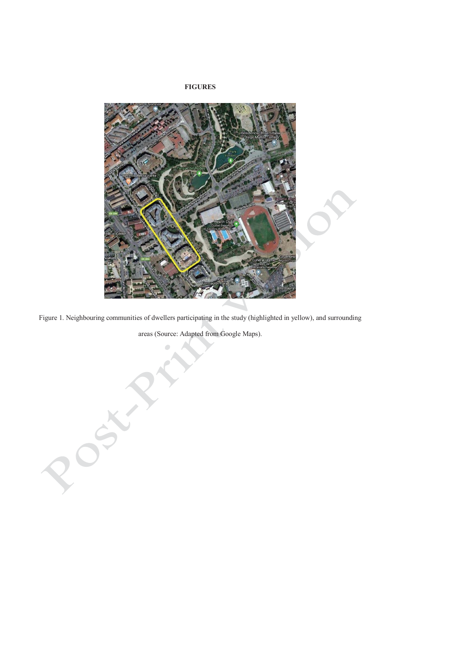#### **FIGURES**



Figure 1. Neighbouring communities of dwellers participating in the study (highlighted in yellow), and surrounding

areas (Source: Adapted from Google Maps).

Post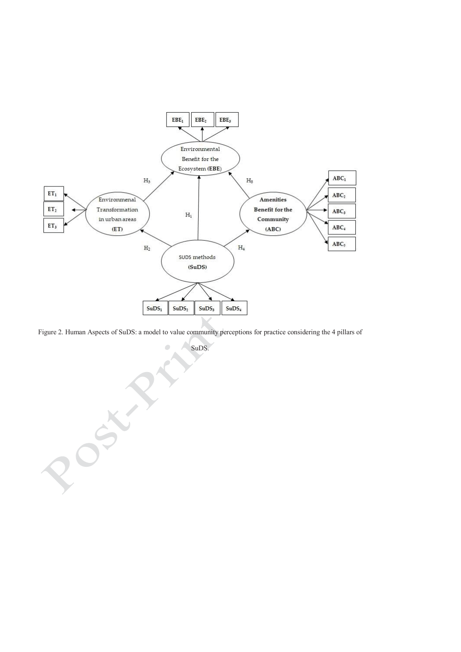

Figure 2. Human Aspects of SuDS: a model to value community perceptions for practice considering the 4 pillars of

 $\bullet$ 

SuDS.

200xxxx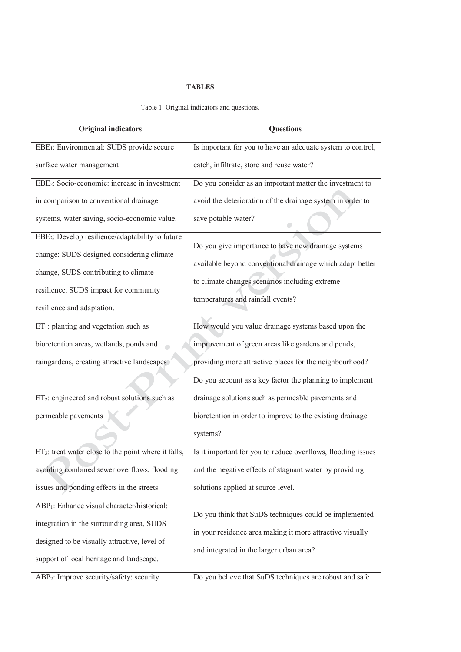#### **TABLES**

Table 1. Original indicators and questions.

| <b>Original indicators</b>                                       | <b>Questions</b>                                             |
|------------------------------------------------------------------|--------------------------------------------------------------|
| EBE <sub>1</sub> : Environmental: SUDS provide secure            | Is important for you to have an adequate system to control,  |
| surface water management                                         | catch, infiltrate, store and reuse water?                    |
| EBE <sub>2</sub> : Socio-economic: increase in investment        | Do you consider as an important matter the investment to     |
| in comparison to conventional drainage                           | avoid the deterioration of the drainage system in order to   |
| systems, water saving, socio-economic value.                     | save potable water?                                          |
| EBE <sub>3</sub> : Develop resilience/adaptability to future     | Do you give importance to have new drainage systems          |
| change: SUDS designed considering climate                        | available beyond conventional drainage which adapt better    |
| change, SUDS contributing to climate                             |                                                              |
| resilience, SUDS impact for community                            | to climate changes scenarios including extreme               |
| resilience and adaptation.                                       | temperatures and rainfall events?                            |
| $ET_1$ : planting and vegetation such as                         | How would you value drainage systems based upon the          |
| bioretention areas, wetlands, ponds and                          | improvement of green areas like gardens and ponds,           |
| raingardens, creating attractive landscapes                      | providing more attractive places for the neighbourhood?      |
|                                                                  | Do you account as a key factor the planning to implement     |
| ET <sub>2</sub> : engineered and robust solutions such as        | drainage solutions such as permeable pavements and           |
| permeable pavements                                              | bioretention in order to improve to the existing drainage    |
|                                                                  | systems?                                                     |
| ET <sub>3</sub> : treat water close to the point where it falls, | Is it important for you to reduce overflows, flooding issues |
| avoiding combined sewer overflows, flooding                      | and the negative effects of stagnant water by providing      |
| issues and ponding effects in the streets                        | solutions applied at source level.                           |
| ABP <sub>1</sub> : Enhance visual character/historical:          |                                                              |
| integration in the surrounding area, SUDS                        | Do you think that SuDS techniques could be implemented       |
| designed to be visually attractive, level of                     | in your residence area making it more attractive visually    |
| support of local heritage and landscape.                         | and integrated in the larger urban area?                     |
| ABP <sub>2</sub> : Improve security/safety: security             | Do you believe that SuDS techniques are robust and safe      |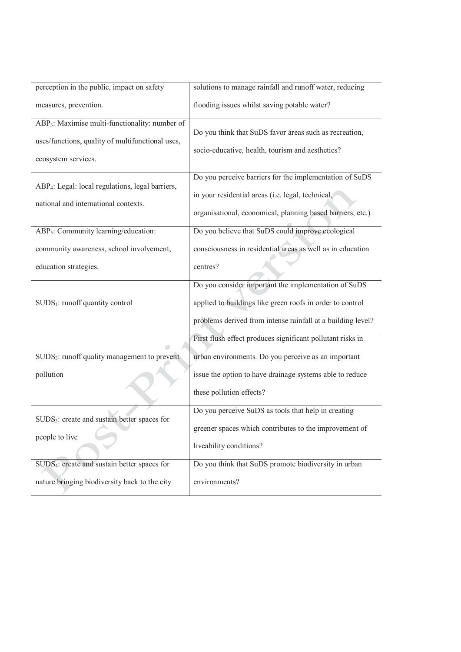| perception in the public, impact on safety                   | solutions to manage rainfall and runoff water, reducing     |
|--------------------------------------------------------------|-------------------------------------------------------------|
| measures, prevention.                                        | flooding issues whilst saving potable water?                |
| ABP <sub>3</sub> : Maximise multi-functionality: number of   |                                                             |
| uses/functions, quality of multifunctional uses,             | Do you think that SuDS favor áreas such as recreation,      |
|                                                              | socio-educative, health, tourism and aesthetics?            |
| ecosystem services.                                          |                                                             |
|                                                              | Do you perceive barriers for the implementation of SuDS     |
| ABP <sub>4</sub> : Legal: local regulations, legal barriers, |                                                             |
|                                                              | in your residential areas (i.e. legal, technical,           |
| national and international contexts.                         |                                                             |
|                                                              | organisational, economical, planning based barriers, etc.)  |
| ABP <sub>5</sub> : Community learning/education:             | Do you believe that SuDS could improve ecological           |
|                                                              | consciousness in residential areas as well as in education  |
| community awareness, school involvement,                     |                                                             |
| education strategies.                                        | centres?                                                    |
|                                                              | Do you consider important the implementation of SuDS        |
|                                                              |                                                             |
| SUDS <sub>1</sub> : runoff quantity control                  | applied to buildings like green roofs in order to control   |
|                                                              | problems derived from intense rainfall at a building level? |
|                                                              |                                                             |
|                                                              | First flush effect produces significant pollutant risks in  |
| SUDS <sub>2</sub> : runoff quality management to prevent     | urban environments. Do you perceive as an important         |
|                                                              |                                                             |
| pollution                                                    | issue the option to have drainage systems able to reduce    |
|                                                              | these pollution effects?                                    |
|                                                              |                                                             |
| SUDS <sub>3</sub> : create and sustain better spaces for     | Do you perceive SuDS as tools that help in creating         |
|                                                              | greener spaces which contributes to the improvement of      |
| people to live                                               | liveability conditions?                                     |
|                                                              |                                                             |
| SUDS <sub>4</sub> : create and sustain better spaces for     | Do you think that SuDS promote biodiversity in urban        |
| nature bringing biodiversity back to the city                | environments?                                               |
|                                                              |                                                             |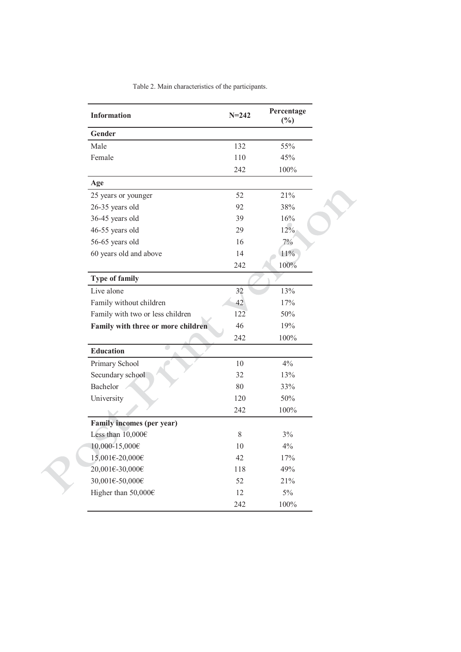| <b>Information</b>                 | $N = 242$ | Percentage<br>$(\%)$ |
|------------------------------------|-----------|----------------------|
| Gender                             |           |                      |
| Male                               | 132       | 55%                  |
| Female                             | 110       | 45%                  |
|                                    | 242       | 100%                 |
| Age                                |           |                      |
| 25 years or younger                | 52        | 21%                  |
| 26-35 years old                    | 92        | 38%                  |
| 36-45 years old                    | 39        | 16%                  |
| 46-55 years old                    | 29        | 12%                  |
| 56-65 years old                    | 16        | 7%                   |
| 60 years old and above             | 14        | 11%                  |
|                                    | 242       | 100%                 |
| <b>Type of family</b>              |           |                      |
| Live alone                         | 32        | 13%                  |
| Family without children            | 42        | 17%                  |
| Family with two or less children   | 122       | 50%                  |
| Family with three or more children | 46        | 19%                  |
|                                    | 242       | 100%                 |
| <b>Education</b>                   |           |                      |
| Primary School                     | 10        | 4%                   |
| Secundary school                   | 32        | 13%                  |
| Bachelor                           | 80        | 33%                  |
| University                         | 120       | 50%                  |
|                                    | 242       | 100%                 |
| Family incomes (per year)          |           |                      |
| Less than $10,000 \in$             | 8         | 3%                   |
| 10,000-15,000€                     | 10        | 4%                   |
| 15,001€-20,000€                    | 42        | 17%                  |
| 20,001€-30,000€                    | 118       | 49%                  |
| 30,001€-50,000€                    | 52        | 21%                  |
| Higher than $50,000 \in$           | 12        | 5%                   |
|                                    | 242       | $100\%$              |

Table 2. Main characteristics of the participants.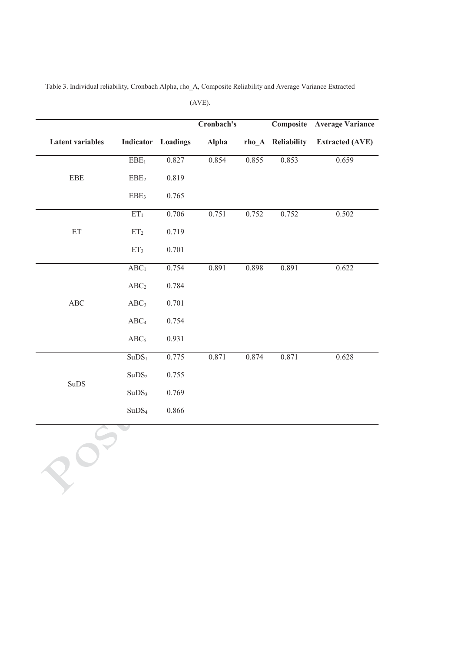|                         |                   |                    | Cronbach's   |       |                   | <b>Composite Average Variance</b> |
|-------------------------|-------------------|--------------------|--------------|-------|-------------------|-----------------------------------|
| <b>Latent variables</b> |                   | Indicator Loadings | <b>Alpha</b> |       | rho_A Reliability | <b>Extracted (AVE)</b>            |
|                         | $\rm EBE_1$       | 0.827              | 0.854        | 0.855 | 0.853             | 0.659                             |
| EBE                     | EBE <sub>2</sub>  | 0.819              |              |       |                   |                                   |
|                         | EBE <sub>3</sub>  | 0.765              |              |       |                   |                                   |
|                         | ET <sub>1</sub>   | 0.706              | 0.751        | 0.752 | 0.752             | 0.502                             |
| ET                      | ET <sub>2</sub>   | 0.719              |              |       |                   |                                   |
|                         | ET <sub>3</sub>   | 0.701              |              |       |                   |                                   |
|                         | ABC <sub>1</sub>  | 0.754              | 0.891        | 0.898 | 0.891             | 0.622                             |
|                         | ABC <sub>2</sub>  | 0.784              |              |       |                   |                                   |
| ABC                     | ABC <sub>3</sub>  | 0.701              |              |       |                   |                                   |
|                         | ABC <sub>4</sub>  | 0.754              |              |       |                   |                                   |
|                         | ABC <sub>5</sub>  | 0.931              |              |       |                   |                                   |
|                         | SuDS <sub>1</sub> | 0.775              | 0.871        | 0.874 | 0.871             | 0.628                             |
|                         | $\rm SuDS_2$      | 0.755              |              |       |                   |                                   |
| $\rm SuDS$              | SuDS <sub>3</sub> | 0.769              |              |       |                   |                                   |
|                         | SuDS <sub>4</sub> | 0.866              |              |       |                   |                                   |

Table 3. Individual reliability, Cronbach Alpha, rho\_A, Composite Reliability and Average Variance Extracted

(AVE).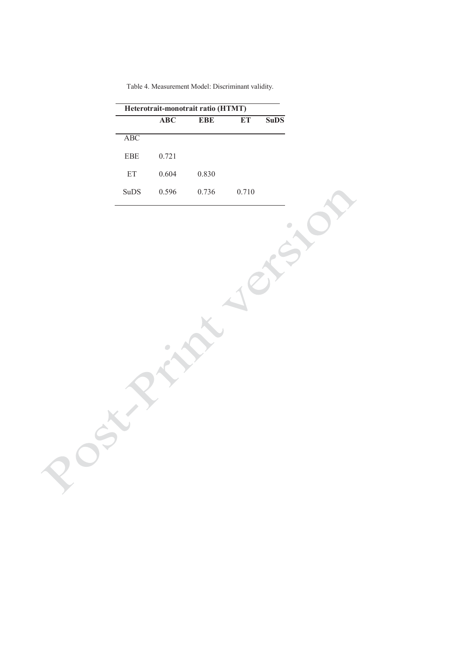| Table 4. Measurement Model: Discriminant validity. |  |
|----------------------------------------------------|--|
|----------------------------------------------------|--|

| Heterotrait-monotrait ratio (HTMT) |       |       |       |             |  |
|------------------------------------|-------|-------|-------|-------------|--|
|                                    | ABC   | EBE   | ET    | <b>SuDS</b> |  |
| ABC                                |       |       |       |             |  |
| <b>EBE</b>                         | 0.721 |       |       |             |  |
| ET                                 | 0.604 | 0.830 |       |             |  |
| SuDS                               | 0.596 | 0.736 | 0.710 |             |  |